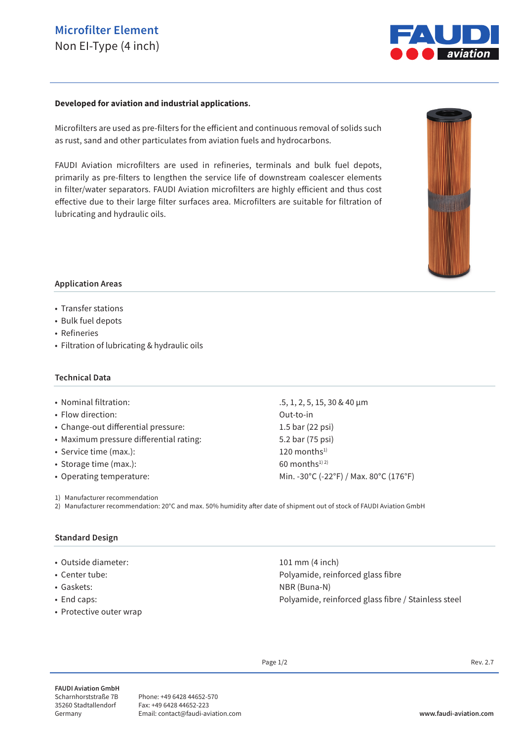# **Microfilter Element** Non EI-Type (4 inch)



#### **Developed for aviation and industrial applications.**

Microfilters are used as pre-filters for the efficient and continuous removal of solids such as rust, sand and other particulates from aviation fuels and hydrocarbons.

FAUDI Aviation microfilters are used in refineries, terminals and bulk fuel depots, primarily as pre-filters to lengthen the service life of downstream coalescer elements in filter/water separators. FAUDI Aviation microfilters are highly efficient and thus cost effective due to their large filter surfaces area. Microfilters are suitable for filtration of lubricating and hydraulic oils.



### **Application Areas**

- Transfer stations
- Bulk fuel depots
- Refineries
- Filtration of lubricating & hydraulic oils

#### **Technical Data**

#### • Nominal filtration: .5, 1, 2, 5, 15, 30 & 40 μm

- Flow direction: Out-to-in
- Change-out differential pressure: 1.5 bar (22 psi)
- Maximum pressure differential rating: 5.2 bar (75 psi)
- Service time  $(max.)$ : 120 months<sup>1)</sup>
- Storage time (max.):  $60$  months<sup>1) 2)</sup>
- 

1) Manufacturer recommendation

2) Manufacturer recommendation: 20°C and max. 50% humidity after date of shipment out of stock of FAUDI Aviation GmbH

### **Standard Design**

- Outside diameter: 101 mm (4 inch)
- Center tube: Polyamide, reinforced glass fibre
- 
- 
- Protective outer wrap

• Operating temperature: Min. -30°C (-22°F) / Max. 80°C (176°F)

• Gaskets: NBR (Buna-N) • End caps: example and caps: example and caps: Polyamide, reinforced glass fibre / Stainless steel

Page  $1/2$  Rev. 2.7